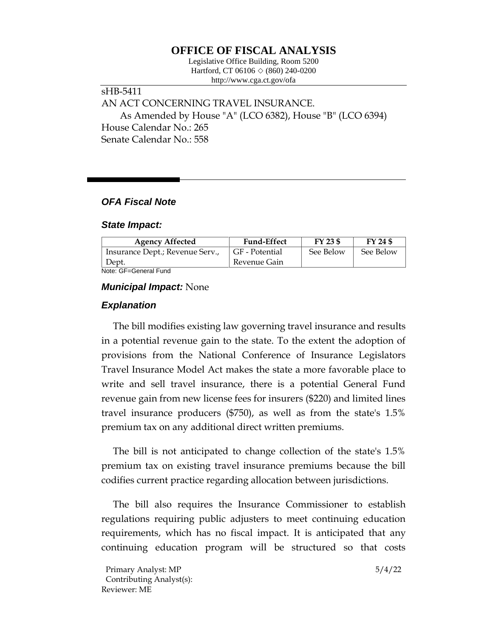# **OFFICE OF FISCAL ANALYSIS**

Legislative Office Building, Room 5200 Hartford, CT 06106  $\Diamond$  (860) 240-0200 http://www.cga.ct.gov/ofa

## sHB-5411 AN ACT CONCERNING TRAVEL INSURANCE. As Amended by House "A" (LCO 6382), House "B" (LCO 6394) House Calendar No.: 265 Senate Calendar No.: 558

## *OFA Fiscal Note*

#### *State Impact:*

| <b>Agency Affected</b>          | <b>Fund-Effect</b> | $FY$ 23 \$ | FY 24 \$  |
|---------------------------------|--------------------|------------|-----------|
| Insurance Dept.; Revenue Serv., | GF - Potential     | See Below  | See Below |
| Dept.                           | Revenue Gain       |            |           |

Note: GF=General Fund

### *Municipal Impact:* None

## *Explanation*

The bill modifies existing law governing travel insurance and results in a potential revenue gain to the state. To the extent the adoption of provisions from the National Conference of Insurance Legislators Travel Insurance Model Act makes the state a more favorable place to write and sell travel insurance, there is a potential General Fund revenue gain from new license fees for insurers (\$220) and limited lines travel insurance producers (\$750), as well as from the state's 1.5% premium tax on any additional direct written premiums.

The bill is not anticipated to change collection of the state's 1.5% premium tax on existing travel insurance premiums because the bill codifies current practice regarding allocation between jurisdictions.

The bill also requires the Insurance Commissioner to establish regulations requiring public adjusters to meet continuing education requirements, which has no fiscal impact. It is anticipated that any continuing education program will be structured so that costs